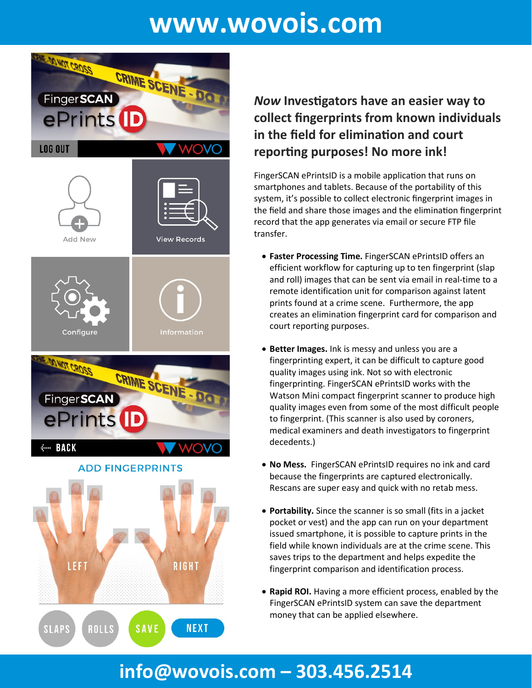# **www.wovois.com**



### *Now* **Inves�gators have an easier way to collect fingerprints from known individuals in the field for elimination and court repor�ng purposes! No more ink!**

FingerSCAN ePrintsID is a mobile application that runs on smartphones and tablets. Because of the portability of this system, it's possible to collect electronic fingerprint images in the field and share those images and the elimination fingerprint record that the app generates via email or secure FTP file transfer.

- **Faster Processing Time.** FingerSCAN ePrintsID offers an efficient workflow for capturing up to ten fingerprint (slap and roll) images that can be sent via email in real-time to a remote identification unit for comparison against latent prints found at a crime scene. Furthermore, the app creates an elimination fingerprint card for comparison and court reporting purposes.
- **Better Images.** Ink is messy and unless you are a fingerprinting expert, it can be difficult to capture good quality images using ink. Not so with electronic fingerprinting. FingerSCAN ePrintsID works with the Watson Mini compact fingerprint scanner to produce high quality images even from some of the most difficult people to fingerprint. (This scanner is also used by coroners, medical examiners and death investigators to fingerprint decedents.)
- **No Mess.** FingerSCAN ePrintsID requires no ink and card because the fingerprints are captured electronically. Rescans are super easy and quick with no retab mess.
- **Portability.** Since the scanner is so small (fits in a jacket pocket or vest) and the app can run on your department issued smartphone, it is possible to capture prints in the field while known individuals are at the crime scene. This saves trips to the department and helps expedite the fingerprint comparison and identification process.
- **Rapid ROI.** Having a more efficient process, enabled by the FingerSCAN ePrintsID system can save the department money that can be applied elsewhere.

## **info@wovois.com – 303.456.2514**